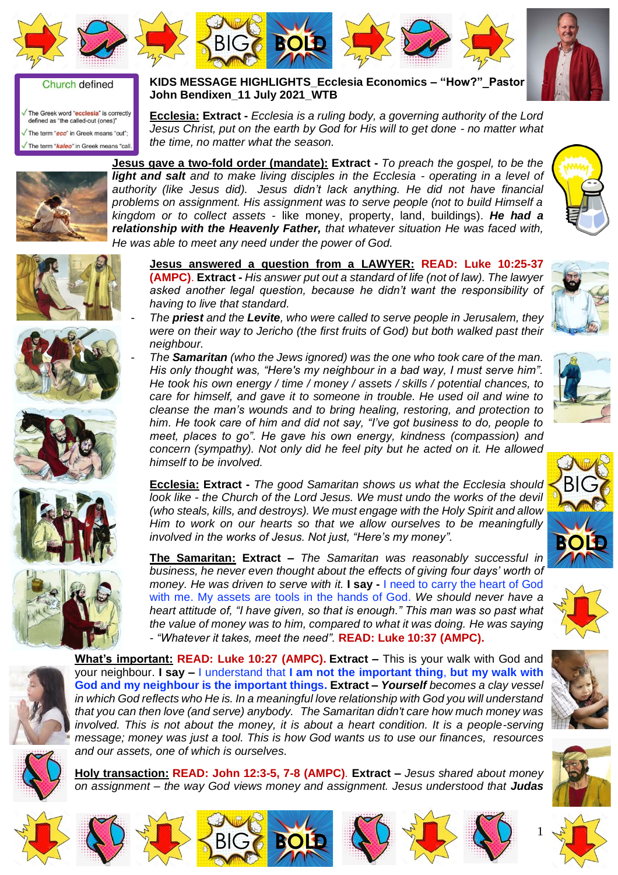







## Church defined

The Greek word "ecclesia" is correctly defined as "the called-out (ones)" The term "ecc" in Greek means "out": The term "**kaleo**" in Greek means "call.

**KIDS MESSAGE HIGHLIGHTS\_Ecclesia Economics – "How?"\_Pastor John Bendixen\_11 July 2021\_WTB**

**Ecclesia: Extract -** *Ecclesia is a ruling body, a governing authority of the Lord Jesus Christ, put on the earth by God for His will to get done - no matter what the time, no matter what the season.*



**Jesus gave a two-fold order (mandate): Extract -** *To preach the gospel, to be the light and salt and to make living disciples in the Ecclesia - operating in a level of authority (like Jesus did). Jesus didn't lack anything. He did not have financial problems on assignment. His assignment was to serve people (not to build Himself a kingdom or to collect assets* - like money, property, land, buildings). *He had a relationship with the Heavenly Father, that whatever situation He was faced with, He was able to meet any need under the power of God.*













**Jesus answered a question from a LAWYER: READ: Luke 10:25-37 (AMPC)**. **Extract -** *His answer put out a standard of life (not of law). The lawyer asked another legal question, because he didn't want the responsibility of having to live that standard.*

- *The priest and the Levite, who were called to serve people in Jerusalem, they were on their way to Jericho (the first fruits of God) but both walked past their neighbour.*
- *The Samaritan (who the Jews ignored) was the one who took care of the man. His only thought was, "Here's my neighbour in a bad way, I must serve him". He took his own energy / time / money / assets / skills / potential chances, to care for himself, and gave it to someone in trouble. He used oil and wine to cleanse the man's wounds and to bring healing, restoring, and protection to him. He took care of him and did not say, "I've got business to do, people to meet, places to go". He gave his own energy, kindness (compassion) and concern (sympathy). Not only did he feel pity but he acted on it. He allowed himself to be involved.*

**Ecclesia: Extract -** *The good Samaritan shows us what the Ecclesia should look like - the Church of the Lord Jesus. We must undo the works of the devil (who steals, kills, and destroys). We must engage with the Holy Spirit and allow Him to work on our hearts so that we allow ourselves to be meaningfully involved in the works of Jesus. Not just, "Here's my money".*

**The Samaritan: Extract –** *The Samaritan was reasonably successful in business, he never even thought about the effects of giving four days' worth of money. He was driven to serve with it.* **I say -** I need to carry the heart of God with me. My assets are tools in the hands of God. *We should never have a heart attitude of, "I have given, so that is enough." This man was so past what the value of money was to him, compared to what it was doing. He was saying - "Whatever it takes, meet the need".* **READ: Luke 10:37 (AMPC).**



![](_page_0_Picture_22.jpeg)

**Holy transaction: READ: John 12:3-5, 7-8 (AMPC)***.* **Extract –** *Jesus shared about money on assignment – the way God views money and assignment. Jesus understood that Judas*

**BIG <b>BOLD** 

![](_page_0_Picture_24.jpeg)

![](_page_0_Picture_25.jpeg)

![](_page_0_Picture_26.jpeg)

![](_page_0_Picture_27.jpeg)

![](_page_0_Picture_28.jpeg)

![](_page_0_Picture_29.jpeg)